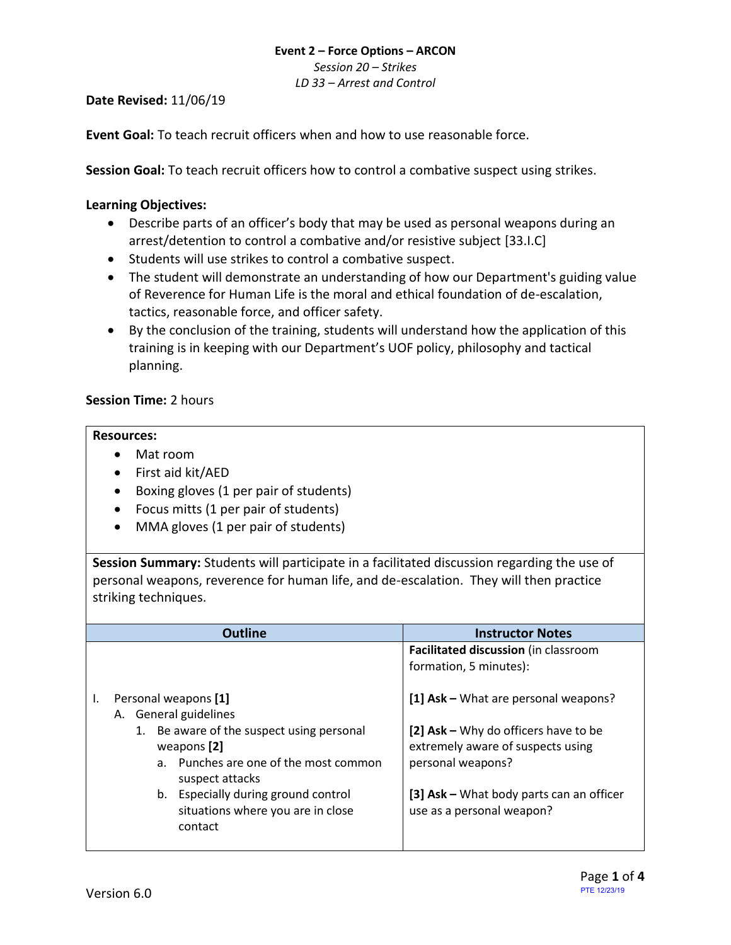*Session 20 – Strikes*

*LD 33 – Arrest and Control*

**Date Revised:** 11/06/19

**Event Goal:** To teach recruit officers when and how to use reasonable force.

**Session Goal:** To teach recruit officers how to control a combative suspect using strikes.

### <span id="page-0-0"></span>**Learning Objectives:**

- [Describe parts of an officer's body that may be used as personal weapons during an](#page-1-0)  [arrest/detention to control a combative and/or resistive subject](#page-1-0) [33.I.C]
- Students will use strikes to control a combative suspect.
- The student will demonstrate an understanding of how our Department's guiding value of Reverence for Human Life is the moral and ethical foundation of de-escalation, tactics, reasonable force, and officer safety.
- By the conclusion of the training, students will understand how the application of this training is in keeping with our Department's UOF policy, philosophy and tactical planning.

## **Session Time:** 2 hours

#### **Resources:**

- Mat room
- First aid kit/AED
- Boxing gloves (1 per pair of students)
- Focus mitts (1 per pair of students)
- MMA gloves (1 per pair of students)

**Session Summary:** Students will participate in a facilitated discussion regarding the use of personal weapons, reverence for human life, and de-escalation. They will then practice striking techniques.

|    |                      | Outline                                                  | <b>Instructor Notes</b>                  |  |  |
|----|----------------------|----------------------------------------------------------|------------------------------------------|--|--|
|    |                      |                                                          | Facilitated discussion (in classroom     |  |  |
|    |                      |                                                          | formation, 5 minutes):                   |  |  |
| ı. | Personal weapons [1] |                                                          | [1] Ask - What are personal weapons?     |  |  |
|    |                      | A. General guidelines                                    |                                          |  |  |
|    |                      | 1. Be aware of the suspect using personal                | [2] Ask - Why do officers have to be     |  |  |
|    |                      | weapons [2]                                              | extremely aware of suspects using        |  |  |
|    |                      | a. Punches are one of the most common<br>suspect attacks | personal weapons?                        |  |  |
|    | b.                   | Especially during ground control                         | [3] Ask - What body parts can an officer |  |  |
|    |                      | situations where you are in close<br>contact             | use as a personal weapon?                |  |  |
|    |                      |                                                          |                                          |  |  |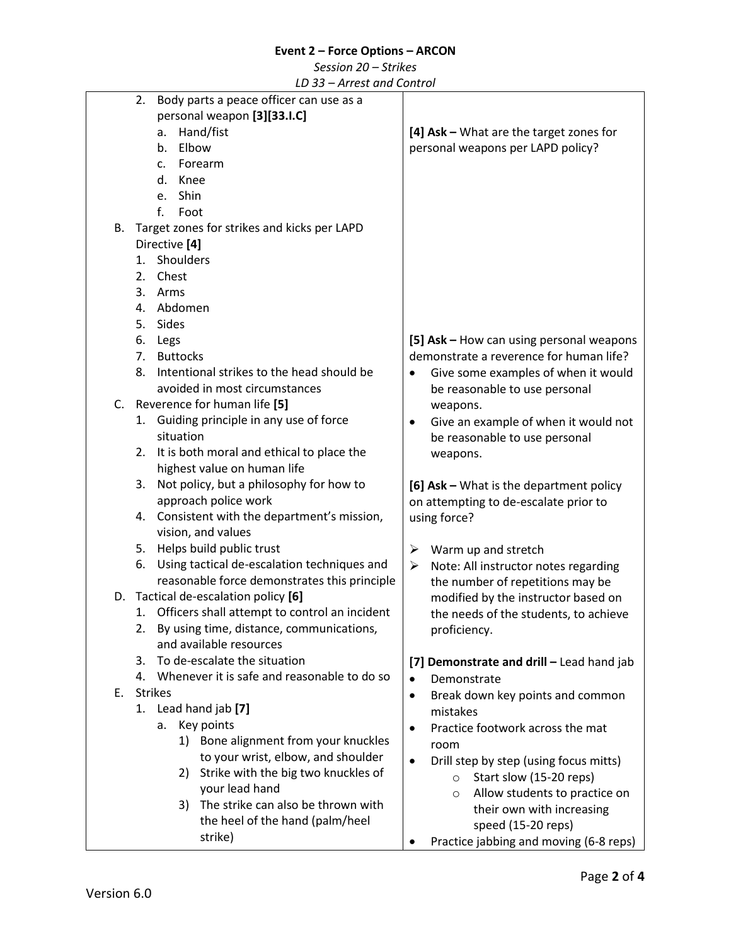*Session 20 – Strikes*

*LD 33 – Arrest and Control*

<span id="page-1-0"></span>

|    | 2.<br>Body parts a peace officer can use as a       |                                                               |
|----|-----------------------------------------------------|---------------------------------------------------------------|
|    | personal weapon [3][33.I.C]                         |                                                               |
|    | Hand/fist<br>a.                                     | [4] Ask - What are the target zones for                       |
|    | Elbow<br>b.                                         | personal weapons per LAPD policy?                             |
|    | Forearm<br>c.                                       |                                                               |
|    | d.<br>Knee                                          |                                                               |
|    | Shin<br>e.                                          |                                                               |
|    | $f_{\cdot}$<br>Foot                                 |                                                               |
| В. | Target zones for strikes and kicks per LAPD         |                                                               |
|    | Directive [4]                                       |                                                               |
|    | Shoulders<br>1.                                     |                                                               |
|    |                                                     |                                                               |
|    | Chest<br>2.                                         |                                                               |
|    | 3.<br>Arms                                          |                                                               |
|    | Abdomen<br>4.                                       |                                                               |
|    | 5.<br>Sides                                         |                                                               |
|    | 6.<br>Legs                                          | [5] Ask - How can using personal weapons                      |
|    | <b>Buttocks</b><br>7.                               | demonstrate a reverence for human life?                       |
|    | Intentional strikes to the head should be<br>8.     | Give some examples of when it would                           |
|    | avoided in most circumstances                       | be reasonable to use personal                                 |
|    | C. Reverence for human life [5]                     | weapons.                                                      |
|    | Guiding principle in any use of force<br>1.         | Give an example of when it would not<br>٠                     |
|    | situation                                           | be reasonable to use personal                                 |
|    | 2. It is both moral and ethical to place the        | weapons.                                                      |
|    | highest value on human life                         |                                                               |
|    | Not policy, but a philosophy for how to<br>3.       | [6] Ask - What is the department policy                       |
|    | approach police work                                | on attempting to de-escalate prior to                         |
|    | 4. Consistent with the department's mission,        | using force?                                                  |
|    | vision, and values                                  |                                                               |
|    | Helps build public trust<br>5.                      | ➤<br>Warm up and stretch                                      |
|    | Using tactical de-escalation techniques and<br>6.   | $\blacktriangleright$<br>Note: All instructor notes regarding |
|    | reasonable force demonstrates this principle        | the number of repetitions may be                              |
| D. | Tactical de-escalation policy [6]                   | modified by the instructor based on                           |
|    | Officers shall attempt to control an incident<br>1. | the needs of the students, to achieve                         |
|    | By using time, distance, communications,<br>2.      | proficiency.                                                  |
|    | and available resources                             |                                                               |
|    | To de-escalate the situation<br>3.                  | [7] Demonstrate and drill - Lead hand jab                     |
|    | Whenever it is safe and reasonable to do so<br>4.   |                                                               |
| Е. | <b>Strikes</b>                                      | Demonstrate<br>$\bullet$                                      |
|    | 1. Lead hand jab [7]                                | Break down key points and common<br>٠                         |
|    |                                                     | mistakes                                                      |
|    | Key points<br>а.                                    | Practice footwork across the mat<br>٠                         |
|    | 1) Bone alignment from your knuckles                | room                                                          |
|    | to your wrist, elbow, and shoulder                  | Drill step by step (using focus mitts)<br>$\bullet$           |
|    | Strike with the big two knuckles of<br>2)           | Start slow (15-20 reps)<br>$\circ$                            |
|    | your lead hand                                      | Allow students to practice on<br>$\circ$                      |
|    | The strike can also be thrown with<br>3)            | their own with increasing                                     |
|    | the heel of the hand (palm/heel                     | speed (15-20 reps)                                            |
|    | strike)                                             | Practice jabbing and moving (6-8 reps)                        |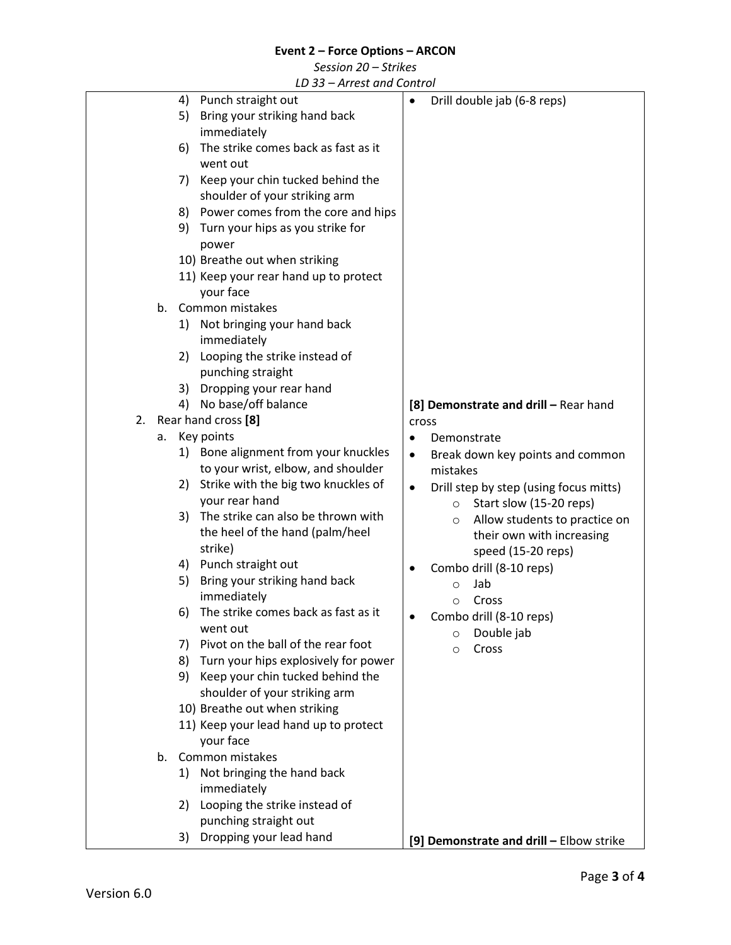*Session 20 – Strikes*

*LD 33 – Arrest and Control*

|    |    |    | LD 33 – AH est und Control            |           |                                          |
|----|----|----|---------------------------------------|-----------|------------------------------------------|
|    |    | 4) | Punch straight out                    |           | Drill double jab (6-8 reps)              |
|    |    | 5) | Bring your striking hand back         |           |                                          |
|    |    |    | immediately                           |           |                                          |
|    |    |    | The strike comes back as fast as it   |           |                                          |
|    |    | 6) |                                       |           |                                          |
|    |    |    | went out                              |           |                                          |
|    |    | 7) | Keep your chin tucked behind the      |           |                                          |
|    |    |    | shoulder of your striking arm         |           |                                          |
|    |    | 8) | Power comes from the core and hips    |           |                                          |
|    |    | 9) | Turn your hips as you strike for      |           |                                          |
|    |    |    | power                                 |           |                                          |
|    |    |    |                                       |           |                                          |
|    |    |    | 10) Breathe out when striking         |           |                                          |
|    |    |    | 11) Keep your rear hand up to protect |           |                                          |
|    |    |    | your face                             |           |                                          |
|    | b. |    | Common mistakes                       |           |                                          |
|    |    | 1) | Not bringing your hand back           |           |                                          |
|    |    |    | immediately                           |           |                                          |
|    |    |    | 2) Looping the strike instead of      |           |                                          |
|    |    |    |                                       |           |                                          |
|    |    |    | punching straight                     |           |                                          |
|    |    | 3) | Dropping your rear hand               |           |                                          |
|    |    |    | 4) No base/off balance                |           | [8] Demonstrate and drill - Rear hand    |
| 2. |    |    | Rear hand cross [8]                   | cross     |                                          |
|    | a. |    | Key points                            |           | Demonstrate                              |
|    |    | 1) | Bone alignment from your knuckles     | $\bullet$ | Break down key points and common         |
|    |    |    | to your wrist, elbow, and shoulder    |           | mistakes                                 |
|    |    | 2) | Strike with the big two knuckles of   |           |                                          |
|    |    |    |                                       |           | Drill step by step (using focus mitts)   |
|    |    |    | your rear hand                        |           | Start slow (15-20 reps)<br>$\circ$       |
|    |    | 3) | The strike can also be thrown with    |           | Allow students to practice on<br>$\circ$ |
|    |    |    | the heel of the hand (palm/heel       |           | their own with increasing                |
|    |    |    | strike)                               |           | speed (15-20 reps)                       |
|    |    |    | 4) Punch straight out                 |           | Combo drill (8-10 reps)                  |
|    |    | 5) | Bring your striking hand back         |           | Jab                                      |
|    |    |    | immediately                           |           | O                                        |
|    |    | 6) | The strike comes back as fast as it   |           | Cross<br>O                               |
|    |    |    |                                       |           | Combo drill (8-10 reps)                  |
|    |    |    | went out                              |           | Double jab<br>$\circ$                    |
|    |    | 7) | Pivot on the ball of the rear foot    |           | Cross<br>$\circ$                         |
|    |    | 8) | Turn your hips explosively for power  |           |                                          |
|    |    |    | 9) Keep your chin tucked behind the   |           |                                          |
|    |    |    | shoulder of your striking arm         |           |                                          |
|    |    |    | 10) Breathe out when striking         |           |                                          |
|    |    |    | 11) Keep your lead hand up to protect |           |                                          |
|    |    |    |                                       |           |                                          |
|    |    |    | your face                             |           |                                          |
|    | b. |    | Common mistakes                       |           |                                          |
|    |    | 1) | Not bringing the hand back            |           |                                          |
|    |    |    | immediately                           |           |                                          |
|    |    | 2) | Looping the strike instead of         |           |                                          |
|    |    |    | punching straight out                 |           |                                          |
|    |    | 3) | Dropping your lead hand               |           |                                          |
|    |    |    |                                       |           | [9] Demonstrate and drill - Elbow strike |